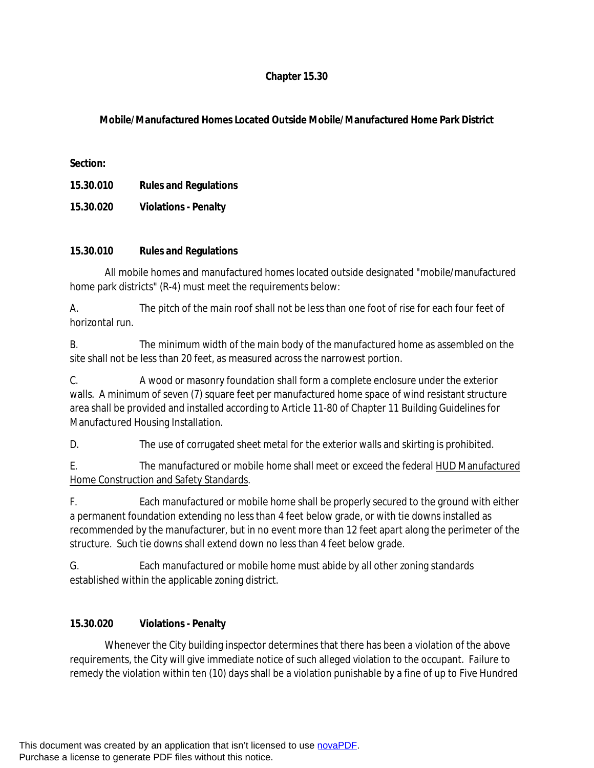## **Chapter 15.30**

## **Mobile/Manufactured Homes Located Outside Mobile/Manufactured Home Park District**

**Section:**

**15.30.010 Rules and Regulations**

**15.30.020 Violations - Penalty**

## **15.30.010 Rules and Regulations**

All mobile homes and manufactured homes located outside designated "mobile/manufactured home park districts" (R-4) must meet the requirements below:

A. The pitch of the main roof shall not be less than one foot of rise for each four feet of horizontal run.

B. The minimum width of the main body of the manufactured home as assembled on the site shall not be less than 20 feet, as measured across the narrowest portion.

C. A wood or masonry foundation shall form a complete enclosure under the exterior walls. A minimum of seven (7) square feet per manufactured home space of wind resistant structure area shall be provided and installed according to Article 11-80 of Chapter 11 Building Guidelines for Manufactured Housing Installation.

D. The use of corrugated sheet metal for the exterior walls and skirting is prohibited.

E. The manufactured or mobile home shall meet or exceed the federal HUD Manufactured Home Construction and Safety Standards.

F. Each manufactured or mobile home shall be properly secured to the ground with either a permanent foundation extending no less than 4 feet below grade, or with tie downs installed as recommended by the manufacturer, but in no event more than 12 feet apart along the perimeter of the structure. Such tie downs shall extend down no less than 4 feet below grade.

G. Each manufactured or mobile home must abide by all other zoning standards established within the applicable zoning district.

## **15.30.020 Violations - Penalty**

Whenever the City building inspector determines that there has been a violation of the above requirements, the City will give immediate notice of such alleged violation to the occupant. Failure to remedy the violation within ten (10) days shall be a violation punishable by a fine of up to Five Hundred